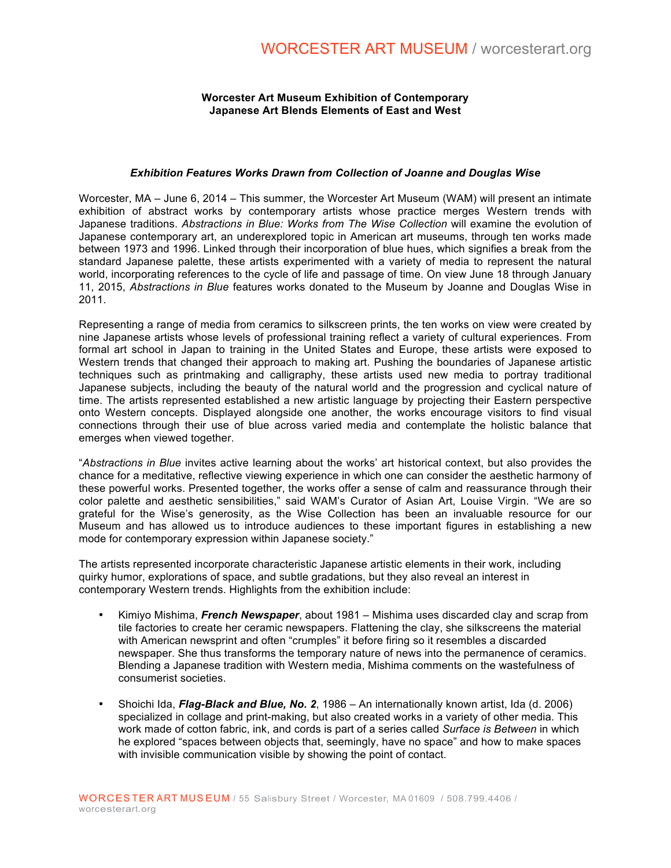## **Worcester Art Museum Exhibition of Contemporary Japanese Art Blends Elements of East and West**

## *Exhibition Features Works Drawn from Collection of Joanne and Douglas Wise*

Worcester, MA – June 6, 2014 – This summer, the Worcester Art Museum (WAM) will present an intimate exhibition of abstract works by contemporary artists whose practice merges Western trends with Japanese traditions. *Abstractions in Blue: Works from The Wise Collection* will examine the evolution of Japanese contemporary art, an underexplored topic in American art museums, through ten works made between 1973 and 1996. Linked through their incorporation of blue hues, which signifies a break from the standard Japanese palette, these artists experimented with a variety of media to represent the natural world, incorporating references to the cycle of life and passage of time. On view June 18 through January 11, 2015, *Abstractions in Blue* features works donated to the Museum by Joanne and Douglas Wise in 2011.

Representing a range of media from ceramics to silkscreen prints, the ten works on view were created by nine Japanese artists whose levels of professional training reflect a variety of cultural experiences. From formal art school in Japan to training in the United States and Europe, these artists were exposed to Western trends that changed their approach to making art. Pushing the boundaries of Japanese artistic techniques such as printmaking and calligraphy, these artists used new media to portray traditional Japanese subjects, including the beauty of the natural world and the progression and cyclical nature of time. The artists represented established a new artistic language by projecting their Eastern perspective onto Western concepts. Displayed alongside one another, the works encourage visitors to find visual connections through their use of blue across varied media and contemplate the holistic balance that emerges when viewed together.

"*Abstractions in Blue* invites active learning about the works' art historical context, but also provides the chance for a meditative, reflective viewing experience in which one can consider the aesthetic harmony of these powerful works. Presented together, the works offer a sense of calm and reassurance through their color palette and aesthetic sensibilities," said WAM's Curator of Asian Art, Louise Virgin. "We are so grateful for the Wise's generosity, as the Wise Collection has been an invaluable resource for our Museum and has allowed us to introduce audiences to these important figures in establishing a new mode for contemporary expression within Japanese society."

The artists represented incorporate characteristic Japanese artistic elements in their work, including quirky humor, explorations of space, and subtle gradations, but they also reveal an interest in contemporary Western trends. Highlights from the exhibition include:

- Kimiyo Mishima, *French Newspaper*, about 1981 Mishima uses discarded clay and scrap from tile factories to create her ceramic newspapers. Flattening the clay, she silkscreens the material with American newsprint and often "crumples" it before firing so it resembles a discarded newspaper. She thus transforms the temporary nature of news into the permanence of ceramics. Blending a Japanese tradition with Western media, Mishima comments on the wastefulness of consumerist societies.
- Shoichi Ida, *Flag-Black and Blue, No. 2*, 1986 An internationally known artist, Ida (d. 2006) specialized in collage and print-making, but also created works in a variety of other media. This work made of cotton fabric, ink, and cords is part of a series called *Surface is Between* in which he explored "spaces between objects that, seemingly, have no space" and how to make spaces with invisible communication visible by showing the point of contact.